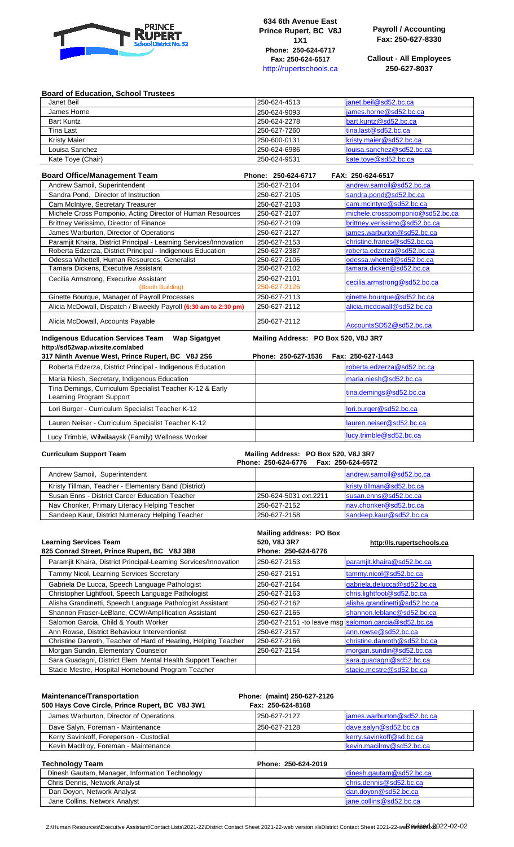

**634 6th Avenue East Prince Rupert, BC V8J 1X1 Phone: 250-624-6717 Fax: 250-624-6517**  http://rupertschools.ca

**Payroll / Accounting Fax: 250-627-8330**

**Callout - All Employees 250-627-8037**

## **Board of Education, School Trustees**

| Janet Beil          | 250-624-4513 | lianet.beil@sd52.bc.ca    |
|---------------------|--------------|---------------------------|
| James Horne         | 250-624-9093 | james.horne@sd52.bc.ca    |
| <b>Bart Kuntz</b>   | 250-624-2278 | bart.kuntz@sd52.bc.ca     |
| Tina Last           | 250-627-7260 | tina.last@sd52.bc.ca      |
| <b>Kristy Maier</b> | 250-600-0131 | kristy.majer@sd52.bc.ca   |
| Louisa Sanchez      | 250-624-6986 | louisa.sanchez@sd52.bc.ca |
| Kate Toye (Chair)   | 250-624-9531 | kate.toye@sd52.bc.ca      |

| <b>Board Office/Management Team</b>                                | Phone: 250-624-6717 | FAX: 250-624-6517                |
|--------------------------------------------------------------------|---------------------|----------------------------------|
| Andrew Samoil, Superintendent                                      | 250-627-2104        | andrew.samoil@sd52.bc.ca         |
| Sandra Pond, Director of Instruction                               | 250-627-2105        | sandra.pond@sd52.bc.ca           |
| Cam McIntyre, Secretary Treasurer                                  | 250-627-2103        | cam.mcintyre@sd52.bc.ca          |
| Michele Cross Pomponio, Acting Director of Human Resources         | 250-627-2107        | michele.crosspomponio@sd52.bc.ca |
| Brittney Verissimo, Director of Finance                            | 250-627-2109        | brittney.verissimo@sd52.bc.ca    |
| James Warburton, Director of Operations                            | 250-627-2127        | james.warburton@sd52.bc.ca       |
| Paramjit Khaira, District Principal - Learning Services/Innovation | 250-627-2153        | christine.franes@sd52.bc.ca      |
| Roberta Edzerza, District Principal - Indigenous Education         | 250-627-2387        | roberta.edzerza@sd52.bc.ca       |
| Odessa Whettell, Human Resources, Generalist                       | 250-627-2106        | odessa.whettell@sd52.bc.ca       |
| Tamara Dickens, Executive Assistant                                | 250-627-2102        | tamara.dicken@sd52.bc.ca         |
| Cecilia Armstrong, Executive Assistant                             | 250-627-2101        | cecilia.armstrong@sd52.bc.ca     |
| (Booth Building)                                                   | 250-627-2126        |                                  |
| Ginette Bourque, Manager of Payroll Processes                      | 250-627-2113        | ginette.bourque@sd52.bc.ca       |
| Alicia McDowall, Dispatch / Biweekly Payroll (6:30 am to 2:30 pm)  | 250-627-2112        | alicia.mcdowall@sd52.bc.ca       |
| Alicia McDowall, Accounts Payable                                  | 250-627-2112        | AccountsSD52@sd52.bc.ca          |

**Indigenous Education Services Team Wap Sigatgyet Mailing Address: PO Box 520, V8J 3R7 http://sd52wap.wixsite.com/abed**

| <u>IIIID://SUJZWAD.WIASIIG.COIII/ADGU</u><br>317 Ninth Avenue West, Prince Rupert, BC V8J 2S6 | Phone: 250-627-1536 | Fax: 250-627-1443          |
|-----------------------------------------------------------------------------------------------|---------------------|----------------------------|
| Roberta Edzerza, District Principal - Indigenous Education                                    |                     | roberta.edzerza@sd52.bc.ca |
| Maria Niesh, Secretary, Indigenous Education                                                  |                     | maria.niesh@sd52.bc.ca     |
| Tina Demings, Curriculum Specialist Teacher K-12 & Early<br>Learning Program Support          |                     | tina.demings@sd52.bc.ca    |
| Lori Burger - Curriculum Specialist Teacher K-12                                              |                     | lori.burger@sd52.bc.ca     |
| Lauren Neiser - Curriculum Specialist Teacher K-12                                            |                     | lauren.neiser@sd52.bc.ca   |
| Lucy Trimble, Wilwilaaysk (Family) Wellness Worker                                            |                     | lucy.trimble@sd52.bc.ca    |

## **Curriculum Support Team Mailing Address: PO Box 520, V8J 3R7**

|                                                      | Phone: 250-624-6776    Fax: 250-624-6572 |                           |
|------------------------------------------------------|------------------------------------------|---------------------------|
| Andrew Samoil, Superintendent                        |                                          | andrew.samoil@sd52.bc.ca  |
| Kristy Tillman, Teacher - Elementary Band (District) |                                          | kristy.tillman@sd52.bc.ca |
| Susan Enns - District Career Education Teacher       | 250-624-5031 ext.2211                    | susan.enns@sd52.bc.ca     |
| Nav Chonker, Primary Literacy Helping Teacher        | 250-627-2152                             | nav.chonker@sd52.bc.ca    |
| Sandeep Kaur, District Numeracy Helping Teacher      | 250-627-2158                             | sandeep.kaur@sd52.bc.ca   |

| <b>Learning Services Team</b><br>825 Conrad Street, Prince Rupert, BC V8J 3B8 | Mailing address: PO Box<br>520, V8J 3R7<br>Phone: 250-624-6776 | http://ls.rupertschools.ca                            |
|-------------------------------------------------------------------------------|----------------------------------------------------------------|-------------------------------------------------------|
| Paramjit Khaira, District Principal-Learning Services/Innovation              | 250-627-2153                                                   | paramjit.khaira@sd52.bc.ca                            |
| Tammy Nicol, Learning Services Secretary                                      | 250-627-2151                                                   | tammy.nicol@sd52.bc.ca                                |
| Gabriela De Lucca, Speech Language Pathologist                                | 250-627-2164                                                   | gabriela.delucca@sd52.bc.ca                           |
| Christopher Lightfoot, Speech Language Pathologist                            | 250-627-2163                                                   | chris.lightfoot@sd52.bc.ca                            |
| Alisha Grandinetti, Speech Language Pathologist Assistant                     | 250-627-2162                                                   | alisha.grandinetti@sd52.bc.ca                         |
| Shannon Fraser-LeBlanc, CCW/Amplification Assistant                           | 250-627-2165                                                   | shannon.leblanc@sd52.bc.ca                            |
| Salomon Garcia, Child & Youth Worker                                          |                                                                | 250-627-2151 - to leave msg salomon.garcia@sd52.bc.ca |
| Ann Rowse, District Behaviour Interventionist                                 | 250-627-2157                                                   | ann.rowse@sd52.bc.ca                                  |
| Christine Danroth, Teacher of Hard of Hearing, Helping Teacher                | 250-627-2166                                                   | christine.danroth@sd52.bc.ca                          |
| Morgan Sundin, Elementary Counselor                                           | 250-627-2154                                                   | morgan.sundin@sd52.bc.ca                              |
| Sara Guadagni, District Elem Mental Health Support Teacher                    |                                                                | sara.guadagni@sd52.bc.ca                              |
| Stacie Mestre, Hospital Homebound Program Teacher                             |                                                                | stacie.mestre@sd52.bc.ca                              |

| <b>Maintenance/Transportation</b><br>500 Hays Cove Circle, Prince Rupert, BC V8J 3W1 | Phone: (maint) 250-627-2126<br>Fax: 250-624-8168 |                            |
|--------------------------------------------------------------------------------------|--------------------------------------------------|----------------------------|
| James Warburton, Director of Operations                                              | 250-627-2127                                     | james.warburton@sd52.bc.ca |
| Dave Salyn, Foreman - Maintenance                                                    | 250-627-2128                                     | dave.salyn@sd52.bc.ca      |
| Kerry Savinkoff, Foreperson - Custodial                                              |                                                  | kerry.savinkoff@sd.bc.ca   |
| Kevin MacIlroy, Foreman - Maintenance                                                |                                                  | kevin.macilroy@sd52.bc.ca  |

| <b>Technology Team</b>                         | Phone: 250-624-2019      |
|------------------------------------------------|--------------------------|
| Dinesh Gautam, Manager, Information Technology | dinesh.gautam@sd52.bc.ca |
| Chris Dennis, Network Analyst                  | chris.dennis@sd52.bc.ca  |
| Dan Doyon, Network Analyst                     | dan.doyon@sd52.bc.ca     |
| Jane Collins, Network Analyst                  | jane.collins@sd52.bc.ca  |